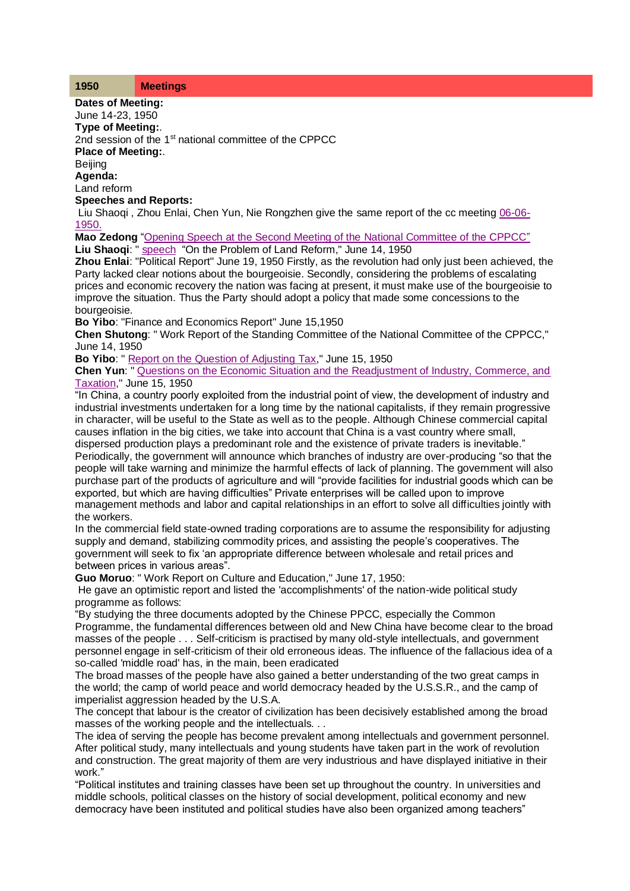**Dates of Meeting:**

June 14-23, 1950 **Type of Meeting:**.

2nd session of the 1<sup>st</sup> national committee of the CPPCC

**Place of Meeting:**.

**Beijing** 

**Agenda:** Land reform

**Speeches and Reports:**

Liu Shaoqi, Zhou Enlai, Chen Yun, Nie Rongzhen give the same report of the cc meeting [06-06-](http://www.commonprogram.science/meeting06061950.html) [1950.](http://www.commonprogram.science/meeting06061950.html)

**Mao Zedong** ["Opening Speech at the Second Meeting of the](http://www.commonprogram.science/documents/14-06-1950.pdf) National Committee of the CPPCC" **Liu Shaoqi**: " [speech](http://www.commonprogram.science/documents/report%20on%20the%20question%20of%20agrarian%20reform.pdf) "On the Problem of Land Reform," June 14, 1950

**Zhou Enlai**: "Political Report" June 19, 1950 Firstly, as the revolution had only just been achieved, the Party lacked clear notions about the bourgeoisie. Secondly, considering the problems of escalating prices and economic recovery the nation was facing at present, it must make use of the bourgeoisie to improve the situation. Thus the Party should adopt a policy that made some concessions to the bourgeoisie.

**Bo Yibo**: "Finance and Economics Report" June 15,1950

**Chen Shutong**: " Work Report of the Standing Committee of the National Committee of the CPPCC," June 14, 1950

**Bo Yibo**: [" Report on the Question of Adjusting Tax,](http://www.commonprogram.science/documents/Report%20on%20the%20problem%20of%20adjusting%20taxes.pdf)" June 15, 1950

**Chen Yun**: [" Questions on the Economic Situation and the Readjustment of Industry, Commerce, and](http://www.commonprogram.science/documents/15-06-1950.pdf)  [Taxation,](http://www.commonprogram.science/documents/15-06-1950.pdf)" June 15, 1950

"In China, a country poorly exploited from the industrial point of view, the development of industry and industrial investments undertaken for a long time by the national capitalists, if they remain progressive in character, will be useful to the State as well as to the people. Although Chinese commercial capital causes inflation in the big cities, we take into account that China is a vast country where small,

dispersed production plays a predominant role and the existence of private traders is inevitable." Periodically, the government will announce which branches of industry are over-producing "so that the people will take warning and minimize the harmful effects of lack of planning. The government will also purchase part of the products of agriculture and will "provide facilities for industrial goods which can be exported, but which are having difficulties" Private enterprises will be called upon to improve management methods and labor and capital relationships in an effort to solve all difficulties jointly with the workers.

In the commercial field state-owned trading corporations are to assume the responsibility for adjusting supply and demand, stabilizing commodity prices, and assisting the people's cooperatives. The government will seek to fix 'an appropriate difference between wholesale and retail prices and between prices in various areas".

**Guo Moruo**: " Work Report on Culture and Education," June 17, 1950:

He gave an optimistic report and listed the 'accomplishments' of the nation-wide political study programme as follows:

"By studying the three documents adopted by the Chinese PPCC, especially the Common Programme, the fundamental differences between old and New China have become clear to the broad masses of the people . . . Self-criticism is practised by many old-style intellectuals, and government personnel engage in self-criticism of their old erroneous ideas. The influence of the fallacious idea of a so-called 'middle road' has, in the main, been eradicated

The broad masses of the people have also gained a better understanding of the two great camps in the world; the camp of world peace and world democracy headed by the U.S.S.R., and the camp of imperialist aggression headed by the U.S.A.

The concept that labour is the creator of civilization has been decisively established among the broad masses of the working people and the intellectuals. . .

The idea of serving the people has become prevalent among intellectuals and government personnel. After political study, many intellectuals and young students have taken part in the work of revolution and construction. The great majority of them are very industrious and have displayed initiative in their work."

"Political institutes and training classes have been set up throughout the country. In universities and middle schools, political classes on the history of social development, political economy and new democracy have been instituted and political studies have also been organized among teachers"